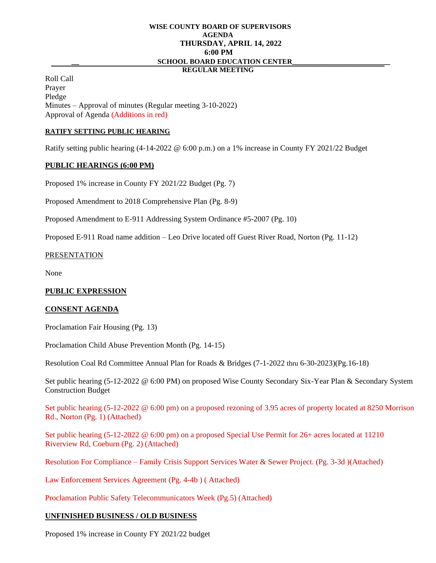#### **WISE COUNTY BOARD OF SUPERVISORS AGENDA THURSDAY, APRIL 14, 2022 6:00 PM \_\_ SCHOOL BOARD EDUCATION CENTER\_\_\_\_\_\_\_\_\_\_\_\_\_\_\_\_\_\_\_\_\_\_\_\_\_ REGULAR MEETING**

Roll Call Prayer Pledge

Minutes – Approval of minutes (Regular meeting 3-10-2022) Approval of Agenda (Additions in red)

## **RATIFY SETTING PUBLIC HEARING**

Ratify setting public hearing (4-14-2022 @ 6:00 p.m.) on a 1% increase in County FY 2021/22 Budget

### **PUBLIC HEARINGS (6:00 PM)**

Proposed 1% increase in County FY 2021/22 Budget (Pg. 7)

Proposed Amendment to 2018 Comprehensive Plan (Pg. 8-9)

Proposed Amendment to E-911 Addressing System Ordinance #5-2007 (Pg. 10)

Proposed E-911 Road name addition – Leo Drive located off Guest River Road, Norton (Pg. 11-12)

## PRESENTATION

None

### **PUBLIC EXPRESSION**

### **CONSENT AGENDA**

Proclamation Fair Housing (Pg. 13)

Proclamation Child Abuse Prevention Month (Pg. 14-15)

Resolution Coal Rd Committee Annual Plan for Roads & Bridges (7-1-2022 thru 6-30-2023)(Pg.16-18)

Set public hearing (5-12-2022 @ 6:00 PM) on proposed Wise County Secondary Six-Year Plan & Secondary System Construction Budget

Set public hearing (5-12-2022 @ 6:00 pm) on a proposed rezoning of 3.95 acres of property located at 8250 Morrison Rd., Norton (Pg. 1) (Attached)

Set public hearing (5-12-2022 @ 6:00 pm) on a proposed Special Use Permit for 26+ acres located at 11210 Riverview Rd, Coeburn (Pg. 2) (Attached)

Resolution For Compliance – Family Crisis Support Services Water & Sewer Project. (Pg. 3-3d )(Attached)

Law Enforcement Services Agreement (Pg. 4-4b ) ( Attached)

Proclamation Public Safety Telecommunicators Week (Pg.5) (Attached)

# **UNFINISHED BUSINESS / OLD BUSINESS**

Proposed 1% increase in County FY 2021/22 budget